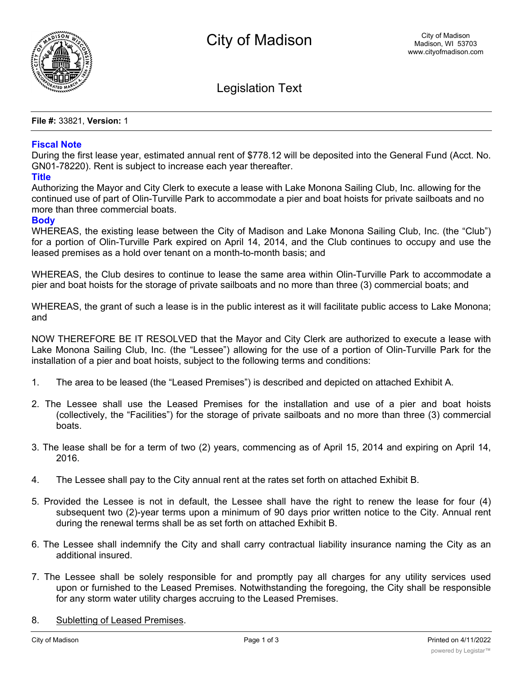

Legislation Text

**File #:** 33821, **Version:** 1

## **Fiscal Note**

During the first lease year, estimated annual rent of \$778.12 will be deposited into the General Fund (Acct. No. GN01-78220). Rent is subject to increase each year thereafter.

## **Title**

Authorizing the Mayor and City Clerk to execute a lease with Lake Monona Sailing Club, Inc. allowing for the continued use of part of Olin-Turville Park to accommodate a pier and boat hoists for private sailboats and no more than three commercial boats.

## **Body**

WHEREAS, the existing lease between the City of Madison and Lake Monona Sailing Club, Inc. (the "Club") for a portion of Olin-Turville Park expired on April 14, 2014, and the Club continues to occupy and use the leased premises as a hold over tenant on a month-to-month basis; and

WHEREAS, the Club desires to continue to lease the same area within Olin-Turville Park to accommodate a pier and boat hoists for the storage of private sailboats and no more than three (3) commercial boats; and

WHEREAS, the grant of such a lease is in the public interest as it will facilitate public access to Lake Monona; and

NOW THEREFORE BE IT RESOLVED that the Mayor and City Clerk are authorized to execute a lease with Lake Monona Sailing Club, Inc. (the "Lessee") allowing for the use of a portion of Olin-Turville Park for the installation of a pier and boat hoists, subject to the following terms and conditions:

- 1. The area to be leased (the "Leased Premises") is described and depicted on attached Exhibit A.
- 2. The Lessee shall use the Leased Premises for the installation and use of a pier and boat hoists (collectively, the "Facilities") for the storage of private sailboats and no more than three (3) commercial boats.
- 3. The lease shall be for a term of two (2) years, commencing as of April 15, 2014 and expiring on April 14, 2016.
- 4. The Lessee shall pay to the City annual rent at the rates set forth on attached Exhibit B.
- 5. Provided the Lessee is not in default, the Lessee shall have the right to renew the lease for four (4) subsequent two (2)-year terms upon a minimum of 90 days prior written notice to the City. Annual rent during the renewal terms shall be as set forth on attached Exhibit B.
- 6. The Lessee shall indemnify the City and shall carry contractual liability insurance naming the City as an additional insured.
- 7. The Lessee shall be solely responsible for and promptly pay all charges for any utility services used upon or furnished to the Leased Premises. Notwithstanding the foregoing, the City shall be responsible for any storm water utility charges accruing to the Leased Premises.
- 8. Subletting of Leased Premises.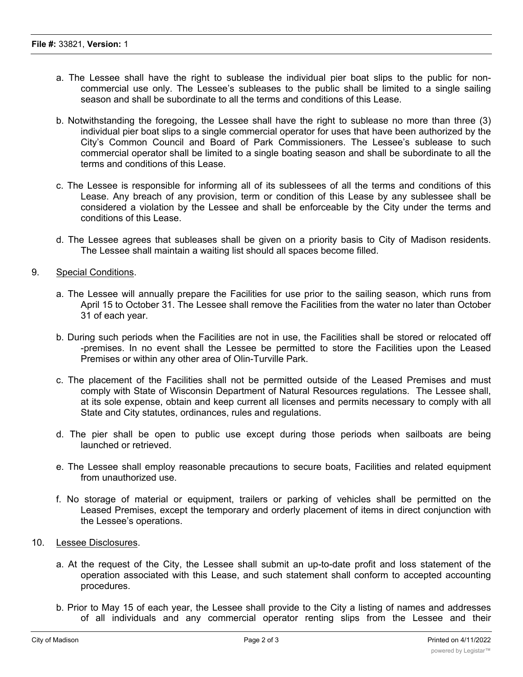- a. The Lessee shall have the right to sublease the individual pier boat slips to the public for noncommercial use only. The Lessee's subleases to the public shall be limited to a single sailing season and shall be subordinate to all the terms and conditions of this Lease.
- b. Notwithstanding the foregoing, the Lessee shall have the right to sublease no more than three (3) individual pier boat slips to a single commercial operator for uses that have been authorized by the City's Common Council and Board of Park Commissioners. The Lessee's sublease to such commercial operator shall be limited to a single boating season and shall be subordinate to all the terms and conditions of this Lease.
- c. The Lessee is responsible for informing all of its sublessees of all the terms and conditions of this Lease. Any breach of any provision, term or condition of this Lease by any sublessee shall be considered a violation by the Lessee and shall be enforceable by the City under the terms and conditions of this Lease.
- d. The Lessee agrees that subleases shall be given on a priority basis to City of Madison residents. The Lessee shall maintain a waiting list should all spaces become filled.
- 9. Special Conditions.
	- a. The Lessee will annually prepare the Facilities for use prior to the sailing season, which runs from April 15 to October 31. The Lessee shall remove the Facilities from the water no later than October 31 of each year.
	- b. During such periods when the Facilities are not in use, the Facilities shall be stored or relocated off -premises. In no event shall the Lessee be permitted to store the Facilities upon the Leased Premises or within any other area of Olin-Turville Park.
	- c. The placement of the Facilities shall not be permitted outside of the Leased Premises and must comply with State of Wisconsin Department of Natural Resources regulations. The Lessee shall, at its sole expense, obtain and keep current all licenses and permits necessary to comply with all State and City statutes, ordinances, rules and regulations.
	- d. The pier shall be open to public use except during those periods when sailboats are being launched or retrieved.
	- e. The Lessee shall employ reasonable precautions to secure boats, Facilities and related equipment from unauthorized use.
	- f. No storage of material or equipment, trailers or parking of vehicles shall be permitted on the Leased Premises, except the temporary and orderly placement of items in direct conjunction with the Lessee's operations.
- 10. Lessee Disclosures.
	- a. At the request of the City, the Lessee shall submit an up-to-date profit and loss statement of the operation associated with this Lease, and such statement shall conform to accepted accounting procedures.
	- b. Prior to May 15 of each year, the Lessee shall provide to the City a listing of names and addresses of all individuals and any commercial operator renting slips from the Lessee and their

corresponding boat descriptions and Wisconsin boat registration numbers. The Lessee shall pay to